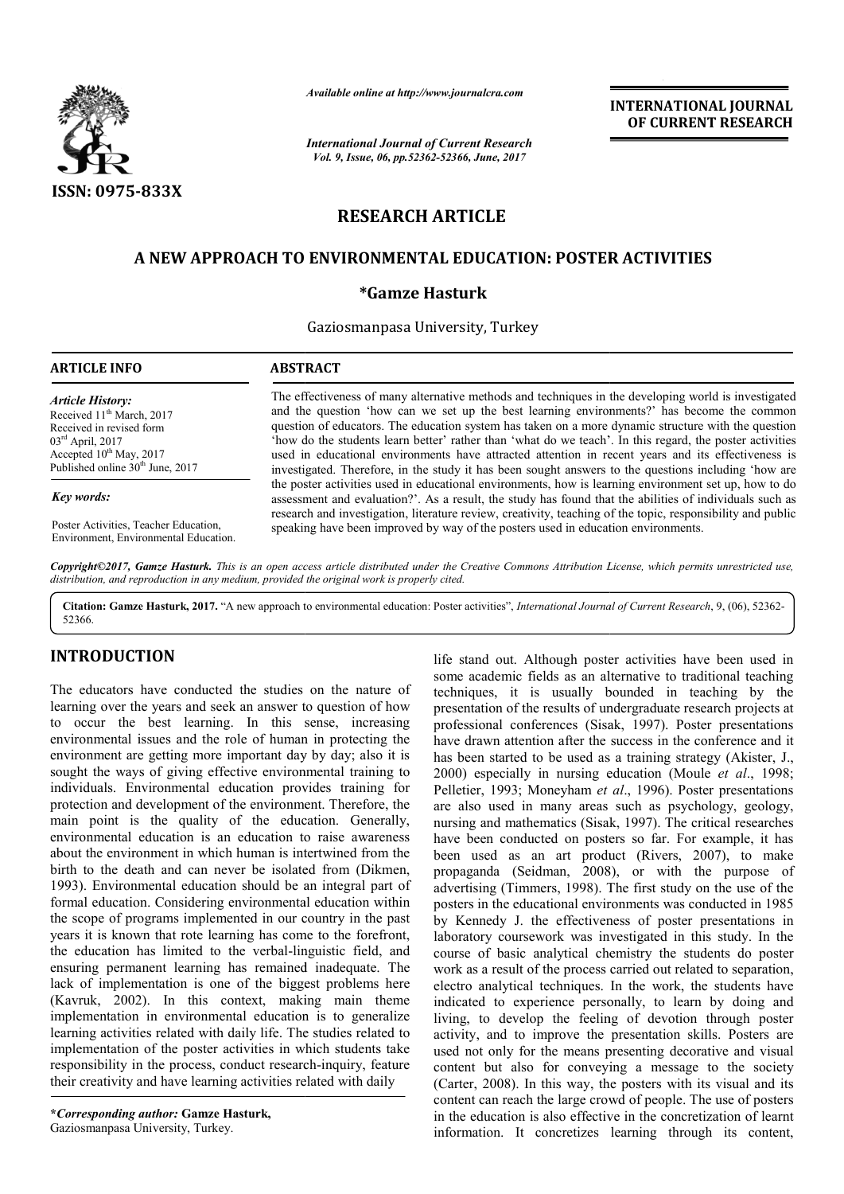

*Available online at http://www.journalcra.com*

*International Journal of Current Research Vol. 9, Issue, 06, pp.52362-52366, June, 2017*

**INTERNATIONAL JOURNAL OF CURRENT RESEARCH** 

# **RESEARCH ARTICLE**

# **A NEW APPROACH TO ENVIRONMENTAL EDUCATION: POSTER ACTIVITIES NEW APPROACH**

# **\*Gamze Hasturk**

Gaziosmanpasa University, Turkey

| <b>ARTICLE INFO</b>                                                                                                                                                                                          | <b>ABSTRACT</b>                                                                                                                                                                                                                                                                                                                                                                                                                                                                                                                                                                                                                     |  |  |
|--------------------------------------------------------------------------------------------------------------------------------------------------------------------------------------------------------------|-------------------------------------------------------------------------------------------------------------------------------------------------------------------------------------------------------------------------------------------------------------------------------------------------------------------------------------------------------------------------------------------------------------------------------------------------------------------------------------------------------------------------------------------------------------------------------------------------------------------------------------|--|--|
| <b>Article History:</b><br>Received 11 <sup>th</sup> March, 2017<br>Received in revised form<br>$03^{\text{rd}}$ April, 2017<br>Accepted $10^{th}$ May, 2017<br>Published online 30 <sup>th</sup> June, 2017 | The effectiveness of many alternative methods and techniques in the developing world is investigated<br>and the question 'how can we set up the best learning environments?' has become the common<br>question of educators. The education system has taken on a more dynamic structure with the question<br>'how do the students learn better' rather than 'what do we teach'. In this regard, the poster activities<br>used in educational environments have attracted attention in recent years and its effectiveness is<br>investigated. Therefore, in the study it has been sought answers to the questions including 'how are |  |  |
| Key words:                                                                                                                                                                                                   | the poster activities used in educational environments, how is learning environment set up, how to do<br>assessment and evaluation? As a result, the study has found that the abilities of individuals such as<br>research and investigation, literature review, creativity, teaching of the topic, responsibility and public                                                                                                                                                                                                                                                                                                       |  |  |
| Poster Activities, Teacher Education,<br>Environment. Environmental Education.                                                                                                                               | speaking have been improved by way of the posters used in education environments.                                                                                                                                                                                                                                                                                                                                                                                                                                                                                                                                                   |  |  |

Copyright©2017, Gamze Hasturk. This is an open access article distributed under the Creative Commons Attribution License, which permits unrestricted use, *distribution, and reproduction in any medium, provided the original work is properly cited.*

Citation: Gamze Hasturk, 2017. "A new approach to environmental education: Poster activities", *International Journal of Current Research*, 9, (06), 52362-52366.

# **INTRODUCTION**

The educators have conducted the studies on the nature of learning over the years and seek an answer to question of how to occur the best learning. In this sense, increasing environmental issues and the role of human in protecting the environment are getting more important day by day; also it is sought the ways of giving effective environmental training to individuals. Environmental education provides training for protection and development of the environment. Therefore, the main point is the quality of the education. Generally, environmental education is an education to raise awareness about the environment in which human is intertwined from the birth to the death and can never be isolated from (Dikmen, 1993). Environmental education should be an integral part of formal education. Considering environmental education within the scope of programs implemented in our country in the past years it is known that rote learning has come to the forefront, the education has limited to the verbal-linguistic field, and ensuring permanent learning has remained inadequate. The lack of implementation is one of the biggest problems here (Kavruk, 2002). In this context, making main theme implementation in environmental education is to generalize learning activities related with daily life. The studies related to implementation of the poster activities in which students take responsibility in the process, conduct research-inquiry, feature their creativity and have learning activities related with daily nd development of the<br>is the quality of<br>tal education is an eduction is the control of<br>wironment in which hu<br>death and can never tation in environmental education is to generalize<br>ctivities related with daily life. The studies related to<br>tation of the poster activities in which students take<br>lity in the process, conduct research-inquiry, feature

**\****Corresponding author:* **Gamze Hasturk,** Gaziosmanpasa University, Turkey.

Er it is usually border the studies on the nature of the stand out. Although poster activities have been used in the studies on the reactors have been used in the such poster activities have one used to energy the stand by some academic fields as an alternative to traditional teaching techniques, it is usually bounded in teaching by the presentation of the results of undergraduate research projects at professional conferences (Sisak, 1997). Poster presentations have drawn attention after the success in the conference and it has been started to be used as a training strategy (Akister, J., 2000) especially in nursing education (Moule *et al*., 1998; Pelletier, 1993; Moneyham et al., 1996). Poster presentations are also used in many areas such as psychology, geology, nursing and mathematics (Sisak, 1997). The critical researches have been conducted on posters so far. For example, it has been used as an art product (Rivers, 2007), to make propaganda (Seidman, 2008), or with the purpose of advertising (Timmers, 1998). The first study on the use of the posters in the educational environments was conducted in 1985 by Kennedy J. the effectiveness of poster presentations in laboratory coursework was investigated in this study. In the course of basic analytical chemistry the students do poster work as a result of the process carried out related to separation, electro analytical techniques. In the work, the students have indicated to experience personally, to learn by doing and living, to develop the feeling of devotion through poster activity, and to improve the presentation skills. Posters are used not only for the means presenting decorative and visual content but also for conveying a message to the society (Carter, 2008). In this way, the posters with its visual and its content can reach the large crowd of people. The use of posters in the education is also effective in the concretization of learnt information. It concretizes learning through its content, life stand out. Although poster activities have been used in some academic fields as an alternative to traditional teaching techniques, it is usually bounded in teaching by the presentation of the results of undergraduate been conducted on posters so far. For example, it has used as an art product (Rivers, 2007), to make<br>ganda (Seidman, 2008), or with the purpose of is in the educational environments was conducted in 1985 nnedy J. the effectiveness of poster presentations in ory coursework was investigated in this study. In the of basic analytical chemistry the students do poster s a **EXERVATIONAL JOURNAL CONSTRATE (SEE ALSO ASSEEM)**<br> **EXECUTE:**<br> **EXECUTE:**<br> **EXECUTE:**<br> **EXECUTE:**<br> **EXECUTE:**<br> **EXECUTE:**<br> **EXECUTE:**<br> **EXECUTE:**<br> **EXECUTE:**<br> **EXECUTE:**<br> **EXECUTE:**<br> **EXECUTE:**<br> **EXECUTE:**<br> **EXECUTE:**<br>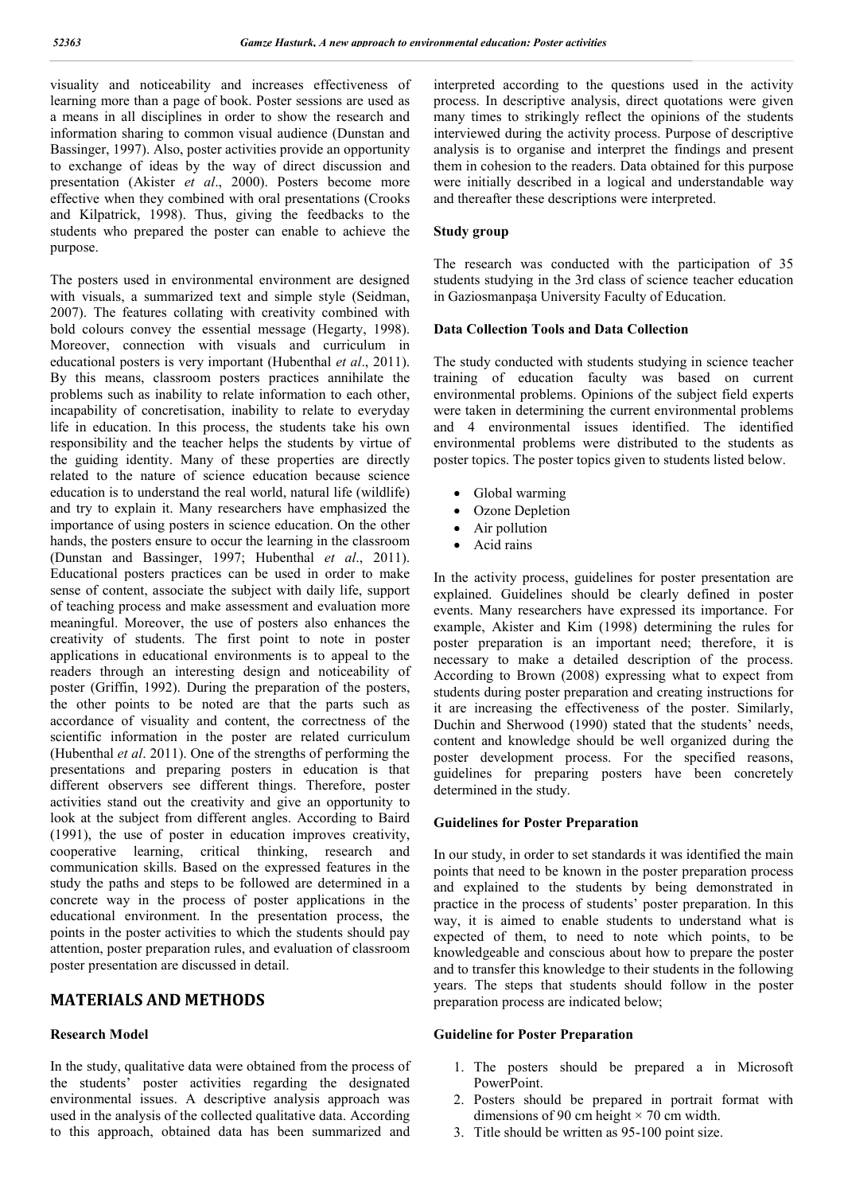visuality and noticeability and increases effectiveness of learning more than a page of book. Poster sessions are used as a means in all disciplines in order to show the research and information sharing to common visual audience (Dunstan and Bassinger, 1997). Also, poster activities provide an opportunity to exchange of ideas by the way of direct discussion and presentation (Akister *et al*., 2000). Posters become more effective when they combined with oral presentations (Crooks and Kilpatrick, 1998). Thus, giving the feedbacks to the students who prepared the poster can enable to achieve the purpose.

The posters used in environmental environment are designed with visuals, a summarized text and simple style (Seidman, 2007). The features collating with creativity combined with bold colours convey the essential message (Hegarty, 1998). Moreover, connection with visuals and curriculum in educational posters is very important (Hubenthal *et al*., 2011). By this means, classroom posters practices annihilate the problems such as inability to relate information to each other, incapability of concretisation, inability to relate to everyday life in education. In this process, the students take his own responsibility and the teacher helps the students by virtue of the guiding identity. Many of these properties are directly related to the nature of science education because science education is to understand the real world, natural life (wildlife) and try to explain it. Many researchers have emphasized the importance of using posters in science education. On the other hands, the posters ensure to occur the learning in the classroom (Dunstan and Bassinger, 1997; Hubenthal *et al*., 2011). Educational posters practices can be used in order to make sense of content, associate the subject with daily life, support of teaching process and make assessment and evaluation more meaningful. Moreover, the use of posters also enhances the creativity of students. The first point to note in poster applications in educational environments is to appeal to the readers through an interesting design and noticeability of poster (Griffin, 1992). During the preparation of the posters, the other points to be noted are that the parts such as accordance of visuality and content, the correctness of the scientific information in the poster are related curriculum (Hubenthal *et al*. 2011). One of the strengths of performing the presentations and preparing posters in education is that different observers see different things. Therefore, poster activities stand out the creativity and give an opportunity to look at the subject from different angles. According to Baird (1991), the use of poster in education improves creativity, cooperative learning, critical thinking, research and communication skills. Based on the expressed features in the study the paths and steps to be followed are determined in a concrete way in the process of poster applications in the educational environment. In the presentation process, the points in the poster activities to which the students should pay attention, poster preparation rules, and evaluation of classroom poster presentation are discussed in detail.

# **MATERIALS AND METHODS**

### **Research Model**

In the study, qualitative data were obtained from the process of the students' poster activities regarding the designated environmental issues. A descriptive analysis approach was used in the analysis of the collected qualitative data. According to this approach, obtained data has been summarized and interpreted according to the questions used in the activity process. In descriptive analysis, direct quotations were given many times to strikingly reflect the opinions of the students interviewed during the activity process. Purpose of descriptive analysis is to organise and interpret the findings and present them in cohesion to the readers. Data obtained for this purpose were initially described in a logical and understandable way and thereafter these descriptions were interpreted.

## **Study group**

The research was conducted with the participation of 35 students studying in the 3rd class of science teacher education in Gaziosmanpaşa University Faculty of Education.

### **Data Collection Tools and Data Collection**

The study conducted with students studying in science teacher training of education faculty was based on current environmental problems. Opinions of the subject field experts were taken in determining the current environmental problems and 4 environmental issues identified. The identified environmental problems were distributed to the students as poster topics. The poster topics given to students listed below.

- Global warming
- Ozone Depletion
- Air pollution
- Acid rains

In the activity process, guidelines for poster presentation are explained. Guidelines should be clearly defined in poster events. Many researchers have expressed its importance. For example, Akister and Kim (1998) determining the rules for poster preparation is an important need; therefore, it is necessary to make a detailed description of the process. According to Brown (2008) expressing what to expect from students during poster preparation and creating instructions for it are increasing the effectiveness of the poster. Similarly, Duchin and Sherwood (1990) stated that the students' needs, content and knowledge should be well organized during the poster development process. For the specified reasons, guidelines for preparing posters have been concretely determined in the study.

### **Guidelines for Poster Preparation**

In our study, in order to set standards it was identified the main points that need to be known in the poster preparation process and explained to the students by being demonstrated in practice in the process of students' poster preparation. In this way, it is aimed to enable students to understand what is expected of them, to need to note which points, to be knowledgeable and conscious about how to prepare the poster and to transfer this knowledge to their students in the following years. The steps that students should follow in the poster preparation process are indicated below;

# **Guideline for Poster Preparation**

- 1. The posters should be prepared a in Microsoft PowerPoint.
- 2. Posters should be prepared in portrait format with dimensions of 90 cm height  $\times$  70 cm width.
- 3. Title should be written as 95-100 point size.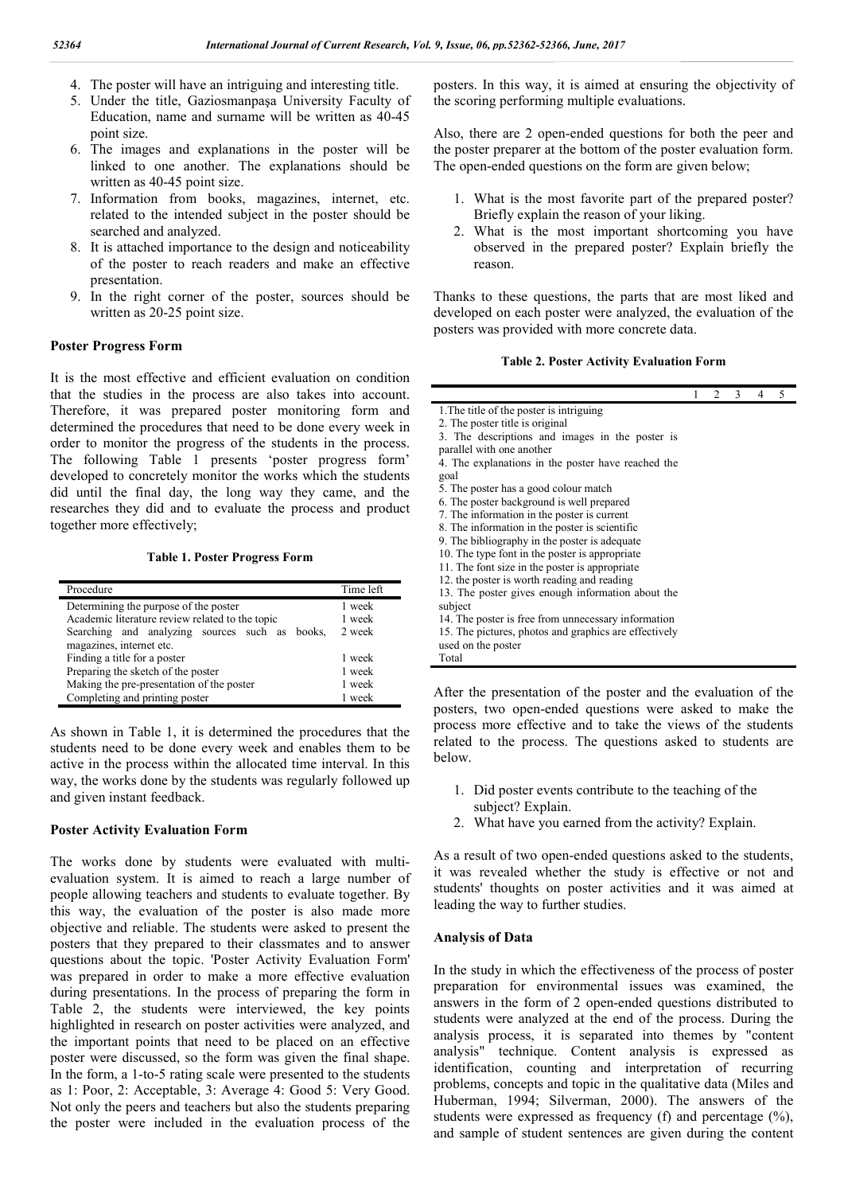- 4. The poster will have an intriguing and interesting title.
- 5. Under the title, Gaziosmanpaşa University Faculty of Education, name and surname will be written as 40-45 point size.
- 6. The images and explanations in the poster will be linked to one another. The explanations should be written as 40-45 point size.
- 7. Information from books, magazines, internet, etc. related to the intended subject in the poster should be searched and analyzed.
- 8. It is attached importance to the design and noticeability of the poster to reach readers and make an effective presentation.
- 9. In the right corner of the poster, sources should be written as 20-25 point size.

## **Poster Progress Form**

It is the most effective and efficient evaluation on condition that the studies in the process are also takes into account. Therefore, it was prepared poster monitoring form and determined the procedures that need to be done every week in order to monitor the progress of the students in the process. The following Table 1 presents 'poster progress form' developed to concretely monitor the works which the students did until the final day, the long way they came, and the researches they did and to evaluate the process and product together more effectively;

**Table 1. Poster Progress Form**

| Procedure                                       | Time left |
|-------------------------------------------------|-----------|
| Determining the purpose of the poster           | 1 week    |
| Academic literature review related to the topic | 1 week    |
| Searching and analyzing sources such as books,  | 2 week    |
| magazines, internet etc.                        |           |
| Finding a title for a poster                    | 1 week    |
| Preparing the sketch of the poster              | 1 week    |
| Making the pre-presentation of the poster       | 1 week    |
| Completing and printing poster                  | 1 week    |

As shown in Table 1, it is determined the procedures that the students need to be done every week and enables them to be active in the process within the allocated time interval. In this way, the works done by the students was regularly followed up and given instant feedback.

#### **Poster Activity Evaluation Form**

The works done by students were evaluated with multievaluation system. It is aimed to reach a large number of people allowing teachers and students to evaluate together. By this way, the evaluation of the poster is also made more objective and reliable. The students were asked to present the posters that they prepared to their classmates and to answer questions about the topic. 'Poster Activity Evaluation Form' was prepared in order to make a more effective evaluation during presentations. In the process of preparing the form in Table 2, the students were interviewed, the key points highlighted in research on poster activities were analyzed, and the important points that need to be placed on an effective poster were discussed, so the form was given the final shape. In the form, a 1-to-5 rating scale were presented to the students as 1: Poor, 2: Acceptable, 3: Average 4: Good 5: Very Good. Not only the peers and teachers but also the students preparing the poster were included in the evaluation process of the

posters. In this way, it is aimed at ensuring the objectivity of the scoring performing multiple evaluations.

Also, there are 2 open-ended questions for both the peer and the poster preparer at the bottom of the poster evaluation form. The open-ended questions on the form are given below;

- 1. What is the most favorite part of the prepared poster? Briefly explain the reason of your liking.
- 2. What is the most important shortcoming you have observed in the prepared poster? Explain briefly the reason.

Thanks to these questions, the parts that are most liked and developed on each poster were analyzed, the evaluation of the posters was provided with more concrete data.

#### **Table 2. Poster Activity Evaluation Form**

1 2 3 4 5

1.The title of the poster is intriguing

2. The poster title is original

- 3. The descriptions and images in the poster is
- parallel with one another
- 4. The explanations in the poster have reached the goal
- 5. The poster has a good colour match
- 6. The poster background is well prepared
- 7. The information in the poster is current
- 8. The information in the poster is scientific
- 9. The bibliography in the poster is adequate
- 10. The type font in the poster is appropriate
- 11. The font size in the poster is appropriate
- 12. the poster is worth reading and reading
- 13. The poster gives enough information about the

subject

- 14. The poster is free from unnecessary information
- 15. The pictures, photos and graphics are effectively

used on the poster

Total

After the presentation of the poster and the evaluation of the posters, two open-ended questions were asked to make the process more effective and to take the views of the students related to the process. The questions asked to students are below.

- 1. Did poster events contribute to the teaching of the subject? Explain.
- 2. What have you earned from the activity? Explain.

As a result of two open-ended questions asked to the students, it was revealed whether the study is effective or not and students' thoughts on poster activities and it was aimed at leading the way to further studies.

#### **Analysis of Data**

In the study in which the effectiveness of the process of poster preparation for environmental issues was examined, the answers in the form of 2 open-ended questions distributed to students were analyzed at the end of the process. During the analysis process, it is separated into themes by "content analysis" technique. Content analysis is expressed as identification, counting and interpretation of recurring problems, concepts and topic in the qualitative data (Miles and Huberman, 1994; Silverman, 2000). The answers of the students were expressed as frequency (f) and percentage (%), and sample of student sentences are given during the content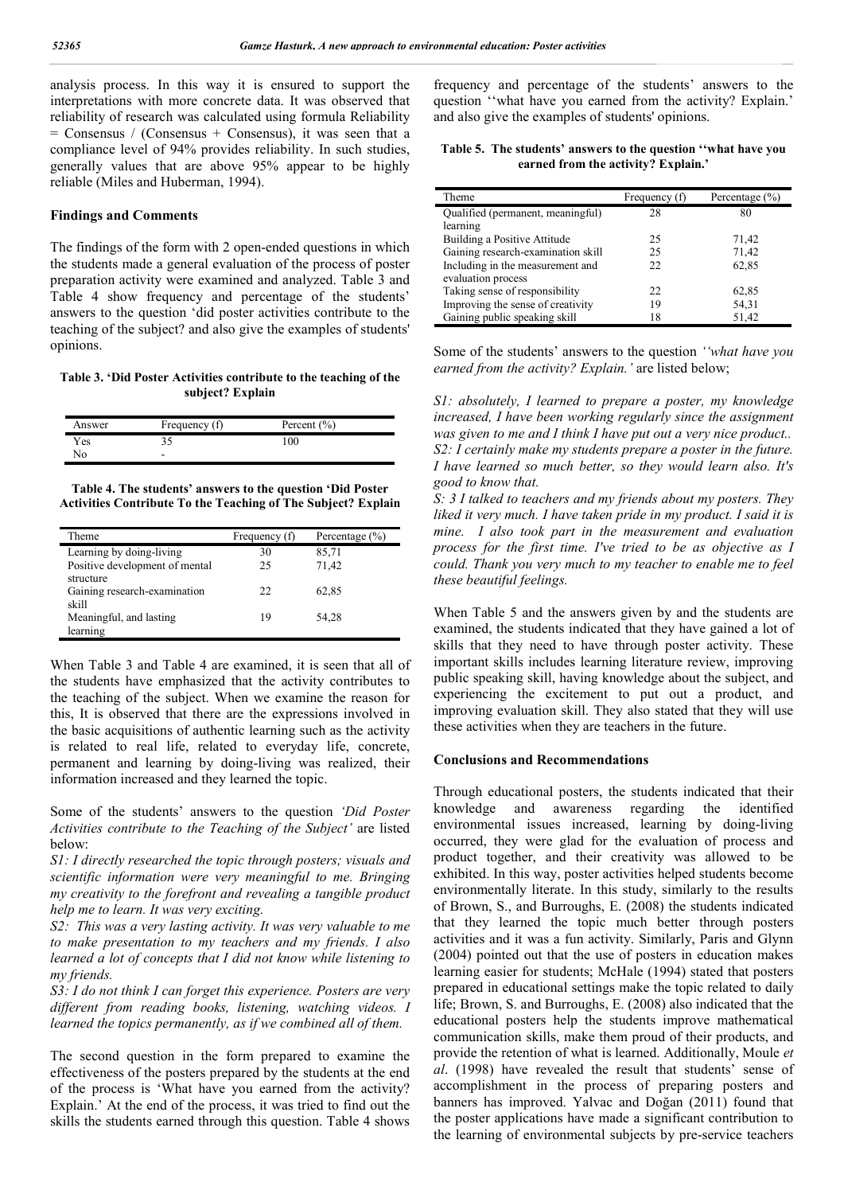analysis process. In this way it is ensured to support the interpretations with more concrete data. It was observed that reliability of research was calculated using formula Reliability  $=$  Consensus / (Consensus + Consensus), it was seen that a compliance level of 94% provides reliability. In such studies, generally values that are above 95% appear to be highly reliable (Miles and Huberman, 1994).

#### **Findings and Comments**

The findings of the form with 2 open-ended questions in which the students made a general evaluation of the process of poster preparation activity were examined and analyzed. Table 3 and Table 4 show frequency and percentage of the students' answers to the question 'did poster activities contribute to the teaching of the subject? and also give the examples of students' opinions.

**Table 3. 'Did Poster Activities contribute to the teaching of the subject? Explain**

| Answer | Frequency (f) | Percent $(\% )$ |
|--------|---------------|-----------------|
| Yes    |               | 100             |
| No     | -<br>-        |                 |

**Table 4. The students' answers to the question 'Did Poster Activities Contribute To the Teaching of The Subject? Explain**

| Theme                                       | Frequency (f) | Percentage $(\% )$ |
|---------------------------------------------|---------------|--------------------|
| Learning by doing-living                    | 30            | 85,71              |
| Positive development of mental<br>structure | 25            | 71.42              |
| Gaining research-examination<br>skill       | 22            | 62,85              |
| Meaningful, and lasting<br>learning         | 19            | 54,28              |

When Table 3 and Table 4 are examined, it is seen that all of the students have emphasized that the activity contributes to the teaching of the subject. When we examine the reason for this, It is observed that there are the expressions involved in the basic acquisitions of authentic learning such as the activity is related to real life, related to everyday life, concrete, permanent and learning by doing-living was realized, their information increased and they learned the topic.

Some of the students' answers to the question *'Did Poster Activities contribute to the Teaching of the Subject'* are listed below:

*S1: I directly researched the topic through posters; visuals and scientific information were very meaningful to me. Bringing my creativity to the forefront and revealing a tangible product help me to learn. It was very exciting.*

*S2: This was a very lasting activity. It was very valuable to me to make presentation to my teachers and my friends. I also learned a lot of concepts that I did not know while listening to my friends.*

*S3: I do not think I can forget this experience. Posters are very different from reading books, listening, watching videos. I learned the topics permanently, as if we combined all of them.*

The second question in the form prepared to examine the effectiveness of the posters prepared by the students at the end of the process is 'What have you earned from the activity? Explain.' At the end of the process, it was tried to find out the skills the students earned through this question. Table 4 shows

frequency and percentage of the students' answers to the question ''what have you earned from the activity? Explain.' and also give the examples of students' opinions.

**Table 5. The students' answers to the question ''what have you earned from the activity? Explain.'**

| Theme                              | Frequency (f) | Percentage $(\% )$ |
|------------------------------------|---------------|--------------------|
| Qualified (permanent, meaningful)  | 28            | 80                 |
| learning                           |               |                    |
| Building a Positive Attitude       | 25            | 71,42              |
| Gaining research-examination skill | 25            | 71,42              |
| Including in the measurement and   | 22.           | 62,85              |
| evaluation process                 |               |                    |
| Taking sense of responsibility     | 22.           | 62,85              |
| Improving the sense of creativity  | 19            | 54,31              |
| Gaining public speaking skill      | 18            | 51,42              |

Some of the students' answers to the question *''what have you earned from the activity? Explain.'* are listed below;

*S1: absolutely, I learned to prepare a poster, my knowledge increased, I have been working regularly since the assignment was given to me and I think I have put out a very nice product.. S2: I certainly make my students prepare a poster in the future. I have learned so much better, so they would learn also. It's good to know that.*

*S: 3 I talked to teachers and my friends about my posters. They liked it very much. I have taken pride in my product. I said it is mine. I also took part in the measurement and evaluation process for the first time. I've tried to be as objective as I could. Thank you very much to my teacher to enable me to feel these beautiful feelings.*

When Table 5 and the answers given by and the students are examined, the students indicated that they have gained a lot of skills that they need to have through poster activity. These important skills includes learning literature review, improving public speaking skill, having knowledge about the subject, and experiencing the excitement to put out a product, and improving evaluation skill. They also stated that they will use these activities when they are teachers in the future.

#### **Conclusions and Recommendations**

Through educational posters, the students indicated that their knowledge and awareness regarding the identified environmental issues increased, learning by doing-living occurred, they were glad for the evaluation of process and product together, and their creativity was allowed to be exhibited. In this way, poster activities helped students become environmentally literate. In this study, similarly to the results of Brown, S., and Burroughs, E. (2008) the students indicated that they learned the topic much better through posters activities and it was a fun activity. Similarly, Paris and Glynn (2004) pointed out that the use of posters in education makes learning easier for students; McHale (1994) stated that posters prepared in educational settings make the topic related to daily life; Brown, S. and Burroughs, E. (2008) also indicated that the educational posters help the students improve mathematical communication skills, make them proud of their products, and provide the retention of what is learned. Additionally, Moule *et al*. (1998) have revealed the result that students' sense of accomplishment in the process of preparing posters and banners has improved. Yalvac and Doğan (2011) found that the poster applications have made a significant contribution to the learning of environmental subjects by pre-service teachers